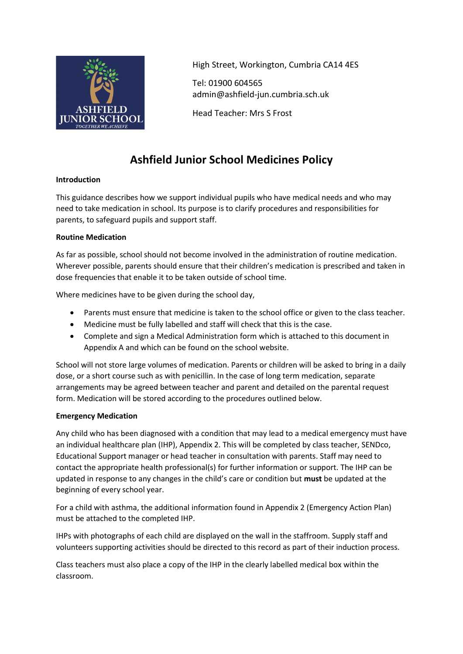

High Street, Workington, Cumbria CA14 4ES

Tel: 01900 604565 admin@ashfield-jun.cumbria.sch.uk

Head Teacher: Mrs S Frost

# **Ashfield Junior School Medicines Policy**

# **Introduction**

This guidance describes how we support individual pupils who have medical needs and who may need to take medication in school. Its purpose is to clarify procedures and responsibilities for parents, to safeguard pupils and support staff.

# **Routine Medication**

As far as possible, school should not become involved in the administration of routine medication. Wherever possible, parents should ensure that their children's medication is prescribed and taken in dose frequencies that enable it to be taken outside of school time.

Where medicines have to be given during the school day,

- Parents must ensure that medicine is taken to the school office or given to the class teacher.
- Medicine must be fully labelled and staff will check that this is the case.
- Complete and sign a Medical Administration form which is attached to this document in Appendix A and which can be found on the school website.

School will not store large volumes of medication. Parents or children will be asked to bring in a daily dose, or a short course such as with penicillin. In the case of long term medication, separate arrangements may be agreed between teacher and parent and detailed on the parental request form. Medication will be stored according to the procedures outlined below.

# **Emergency Medication**

Any child who has been diagnosed with a condition that may lead to a medical emergency must have an individual healthcare plan (IHP), Appendix 2. This will be completed by class teacher, SENDco, Educational Support manager or head teacher in consultation with parents. Staff may need to contact the appropriate health professional(s) for further information or support. The IHP can be updated in response to any changes in the child's care or condition but **must** be updated at the beginning of every school year.

For a child with asthma, the additional information found in Appendix 2 (Emergency Action Plan) must be attached to the completed IHP.

IHPs with photographs of each child are displayed on the wall in the staffroom. Supply staff and volunteers supporting activities should be directed to this record as part of their induction process.

Class teachers must also place a copy of the IHP in the clearly labelled medical box within the classroom.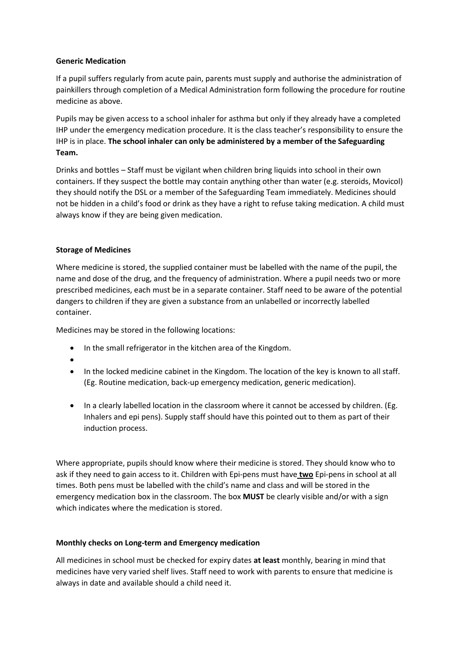### **Generic Medication**

If a pupil suffers regularly from acute pain, parents must supply and authorise the administration of painkillers through completion of a Medical Administration form following the procedure for routine medicine as above.

Pupils may be given access to a school inhaler for asthma but only if they already have a completed IHP under the emergency medication procedure. It is the class teacher's responsibility to ensure the IHP is in place. **The school inhaler can only be administered by a member of the Safeguarding Team.**

Drinks and bottles – Staff must be vigilant when children bring liquids into school in their own containers. If they suspect the bottle may contain anything other than water (e.g. steroids, Movicol) they should notify the DSL or a member of the Safeguarding Team immediately. Medicines should not be hidden in a child's food or drink as they have a right to refuse taking medication. A child must always know if they are being given medication.

# **Storage of Medicines**

Where medicine is stored, the supplied container must be labelled with the name of the pupil, the name and dose of the drug, and the frequency of administration. Where a pupil needs two or more prescribed medicines, each must be in a separate container. Staff need to be aware of the potential dangers to children if they are given a substance from an unlabelled or incorrectly labelled container.

Medicines may be stored in the following locations:

- In the small refrigerator in the kitchen area of the Kingdom.
- •
- In the locked medicine cabinet in the Kingdom. The location of the key is known to all staff. (Eg. Routine medication, back-up emergency medication, generic medication).
- In a clearly labelled location in the classroom where it cannot be accessed by children. (Eg. Inhalers and epi pens). Supply staff should have this pointed out to them as part of their induction process.

Where appropriate, pupils should know where their medicine is stored. They should know who to ask if they need to gain access to it. Children with Epi-pens must have **two** Epi-pens in school at all times. Both pens must be labelled with the child's name and class and will be stored in the emergency medication box in the classroom. The box **MUST** be clearly visible and/or with a sign which indicates where the medication is stored.

#### **Monthly checks on Long-term and Emergency medication**

All medicines in school must be checked for expiry dates **at least** monthly, bearing in mind that medicines have very varied shelf lives. Staff need to work with parents to ensure that medicine is always in date and available should a child need it.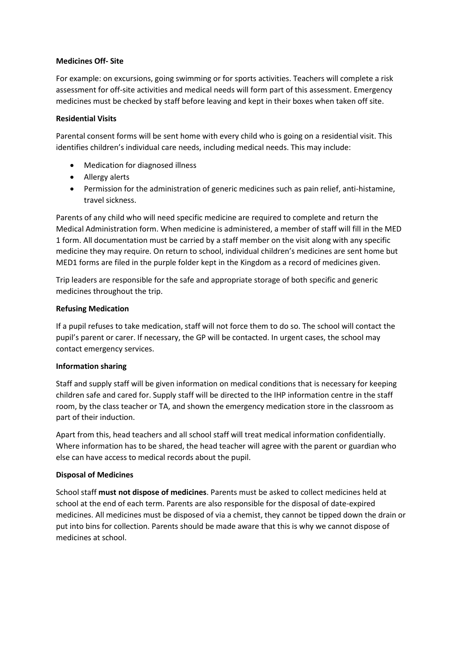### **Medicines Off- Site**

For example: on excursions, going swimming or for sports activities. Teachers will complete a risk assessment for off-site activities and medical needs will form part of this assessment. Emergency medicines must be checked by staff before leaving and kept in their boxes when taken off site.

### **Residential Visits**

Parental consent forms will be sent home with every child who is going on a residential visit. This identifies children's individual care needs, including medical needs. This may include:

- Medication for diagnosed illness
- Allergy alerts
- Permission for the administration of generic medicines such as pain relief, anti-histamine, travel sickness.

Parents of any child who will need specific medicine are required to complete and return the Medical Administration form. When medicine is administered, a member of staff will fill in the MED 1 form. All documentation must be carried by a staff member on the visit along with any specific medicine they may require. On return to school, individual children's medicines are sent home but MED1 forms are filed in the purple folder kept in the Kingdom as a record of medicines given.

Trip leaders are responsible for the safe and appropriate storage of both specific and generic medicines throughout the trip.

### **Refusing Medication**

If a pupil refuses to take medication, staff will not force them to do so. The school will contact the pupil's parent or carer. If necessary, the GP will be contacted. In urgent cases, the school may contact emergency services.

# **Information sharing**

Staff and supply staff will be given information on medical conditions that is necessary for keeping children safe and cared for. Supply staff will be directed to the IHP information centre in the staff room, by the class teacher or TA, and shown the emergency medication store in the classroom as part of their induction.

Apart from this, head teachers and all school staff will treat medical information confidentially. Where information has to be shared, the head teacher will agree with the parent or guardian who else can have access to medical records about the pupil.

# **Disposal of Medicines**

School staff **must not dispose of medicines**. Parents must be asked to collect medicines held at school at the end of each term. Parents are also responsible for the disposal of date-expired medicines. All medicines must be disposed of via a chemist, they cannot be tipped down the drain or put into bins for collection. Parents should be made aware that this is why we cannot dispose of medicines at school.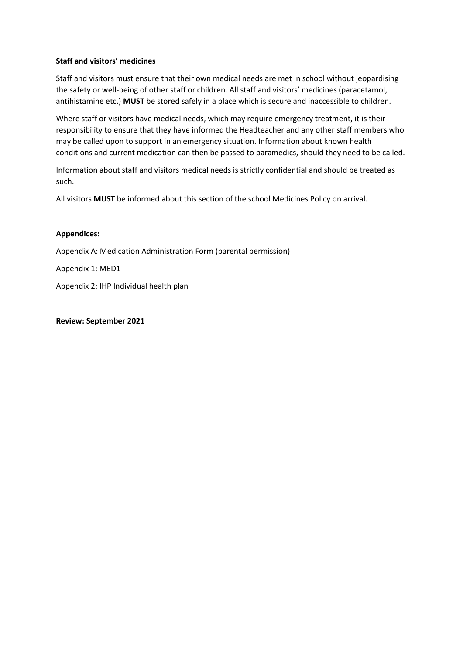### **Staff and visitors' medicines**

Staff and visitors must ensure that their own medical needs are met in school without jeopardising the safety or well-being of other staff or children. All staff and visitors' medicines (paracetamol, antihistamine etc.) **MUST** be stored safely in a place which is secure and inaccessible to children.

Where staff or visitors have medical needs, which may require emergency treatment, it is their responsibility to ensure that they have informed the Headteacher and any other staff members who may be called upon to support in an emergency situation. Information about known health conditions and current medication can then be passed to paramedics, should they need to be called.

Information about staff and visitors medical needs is strictly confidential and should be treated as such.

All visitors **MUST** be informed about this section of the school Medicines Policy on arrival.

#### **Appendices:**

Appendix A: Medication Administration Form (parental permission)

Appendix 1: MED1

Appendix 2: IHP Individual health plan

#### **Review: September 2021**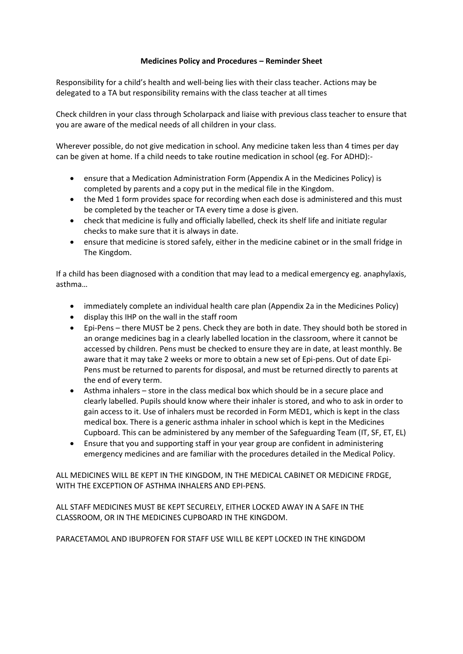### **Medicines Policy and Procedures – Reminder Sheet**

Responsibility for a child's health and well-being lies with their class teacher. Actions may be delegated to a TA but responsibility remains with the class teacher at all times

Check children in your class through Scholarpack and liaise with previous class teacher to ensure that you are aware of the medical needs of all children in your class.

Wherever possible, do not give medication in school. Any medicine taken less than 4 times per day can be given at home. If a child needs to take routine medication in school (eg. For ADHD):-

- ensure that a Medication Administration Form (Appendix A in the Medicines Policy) is completed by parents and a copy put in the medical file in the Kingdom.
- the Med 1 form provides space for recording when each dose is administered and this must be completed by the teacher or TA every time a dose is given.
- check that medicine is fully and officially labelled, check its shelf life and initiate regular checks to make sure that it is always in date.
- ensure that medicine is stored safely, either in the medicine cabinet or in the small fridge in The Kingdom.

If a child has been diagnosed with a condition that may lead to a medical emergency eg. anaphylaxis, asthma…

- immediately complete an individual health care plan (Appendix 2a in the Medicines Policy)
- display this IHP on the wall in the staff room
- Epi-Pens there MUST be 2 pens. Check they are both in date. They should both be stored in an orange medicines bag in a clearly labelled location in the classroom, where it cannot be accessed by children. Pens must be checked to ensure they are in date, at least monthly. Be aware that it may take 2 weeks or more to obtain a new set of Epi-pens. Out of date Epi-Pens must be returned to parents for disposal, and must be returned directly to parents at the end of every term.
- Asthma inhalers store in the class medical box which should be in a secure place and clearly labelled. Pupils should know where their inhaler is stored, and who to ask in order to gain access to it. Use of inhalers must be recorded in Form MED1, which is kept in the class medical box. There is a generic asthma inhaler in school which is kept in the Medicines Cupboard. This can be administered by any member of the Safeguarding Team (IT, SF, ET, EL)
- Ensure that you and supporting staff in your year group are confident in administering emergency medicines and are familiar with the procedures detailed in the Medical Policy.

ALL MEDICINES WILL BE KEPT IN THE KINGDOM, IN THE MEDICAL CABINET OR MEDICINE FRDGE, WITH THE EXCEPTION OF ASTHMA INHALERS AND EPI-PENS.

ALL STAFF MEDICINES MUST BE KEPT SECURELY, EITHER LOCKED AWAY IN A SAFE IN THE CLASSROOM, OR IN THE MEDICINES CUPBOARD IN THE KINGDOM.

PARACETAMOL AND IBUPROFEN FOR STAFF USE WILL BE KEPT LOCKED IN THE KINGDOM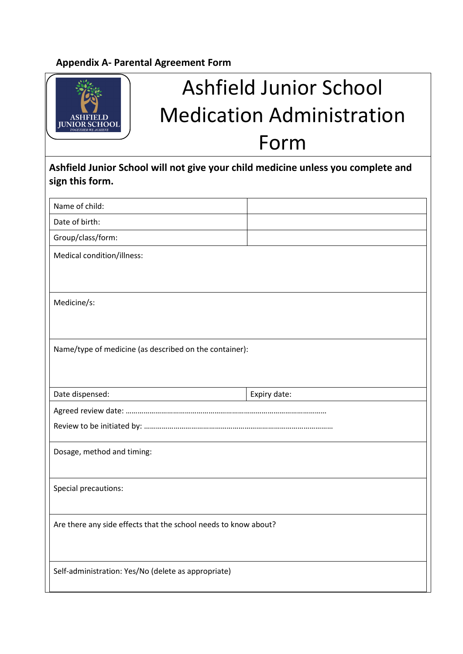# **Appendix A- Parental Agreement Form**

|                                                        | <b>Ashfield Junior School</b>                                                    |
|--------------------------------------------------------|----------------------------------------------------------------------------------|
|                                                        | <b>Medication Administration</b>                                                 |
|                                                        | Form                                                                             |
| sign this form.                                        | Ashfield Junior School will not give your child medicine unless you complete and |
| Name of child:                                         |                                                                                  |
| Date of birth:                                         |                                                                                  |
| Group/class/form:                                      |                                                                                  |
| Medical condition/illness:                             |                                                                                  |
| Medicine/s:                                            |                                                                                  |
| Name/type of medicine (as described on the container): |                                                                                  |
| Date dispensed:                                        | Expiry date:                                                                     |
|                                                        |                                                                                  |
|                                                        |                                                                                  |
| Dosage, method and timing:                             |                                                                                  |
| Special precautions:                                   |                                                                                  |
|                                                        | Are there any side effects that the school needs to know about?                  |
| Self-administration: Yes/No (delete as appropriate)    |                                                                                  |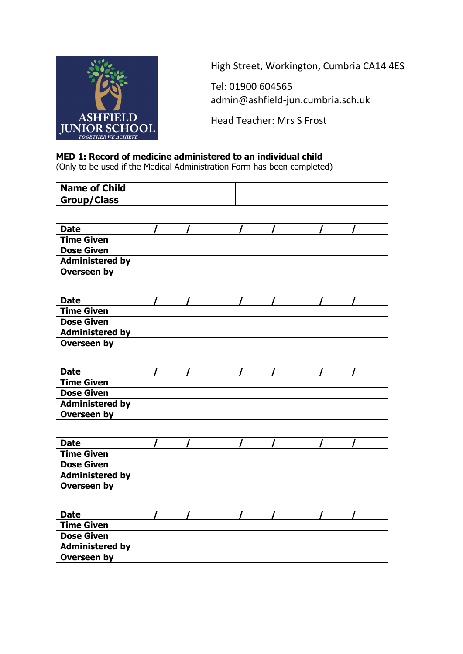

High Street, Workington, Cumbria CA14 4ES

Tel: 01900 604565 admin@ashfield-jun.cumbria.sch.uk

Head Teacher: Mrs S Frost

# **MED 1: Record of medicine administered to an individual child**

(Only to be used if the Medical Administration Form has been completed)

| <b>Name of Child</b> |  |
|----------------------|--|
| <b>Group/Class</b>   |  |

| <b>Date</b>            |  |  |  |
|------------------------|--|--|--|
| <b>Time Given</b>      |  |  |  |
| <b>Dose Given</b>      |  |  |  |
| <b>Administered by</b> |  |  |  |
| Overseen by            |  |  |  |

| <b>Date</b>            |  |  |  |
|------------------------|--|--|--|
| <b>Time Given</b>      |  |  |  |
| <b>Dose Given</b>      |  |  |  |
| <b>Administered by</b> |  |  |  |
| Overseen by            |  |  |  |

| <b>Date</b>            |  |  |  |  |
|------------------------|--|--|--|--|
| <b>Time Given</b>      |  |  |  |  |
| <b>Dose Given</b>      |  |  |  |  |
| <b>Administered by</b> |  |  |  |  |
| Overseen by            |  |  |  |  |

| <b>Date</b>            |  |  |  |
|------------------------|--|--|--|
| <b>Time Given</b>      |  |  |  |
| <b>Dose Given</b>      |  |  |  |
| <b>Administered by</b> |  |  |  |
| Overseen by            |  |  |  |

| <b>Date</b>            |  |  |  |
|------------------------|--|--|--|
| Time Given             |  |  |  |
| <b>Dose Given</b>      |  |  |  |
| <b>Administered by</b> |  |  |  |
| Overseen by            |  |  |  |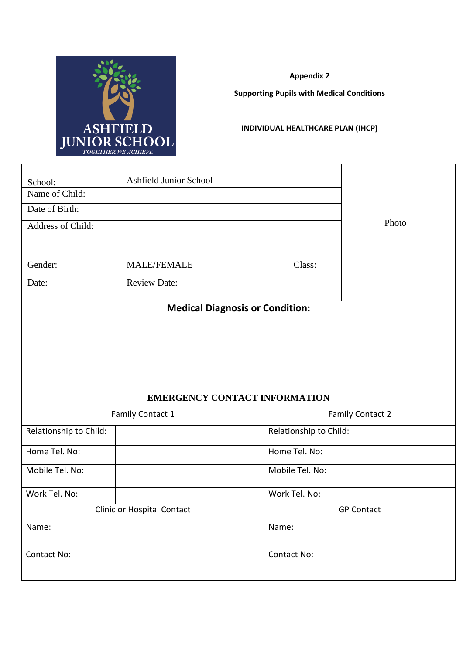

**Appendix 2**

**Supporting Pupils with Medical Conditions**

# **INDIVIDUAL HEALTHCARE PLAN (IHCP)**

| School:                    | Ashfield Junior School |                                        |                         |
|----------------------------|------------------------|----------------------------------------|-------------------------|
| Name of Child:             |                        |                                        |                         |
| Date of Birth:             |                        |                                        |                         |
| Address of Child:          |                        |                                        | Photo                   |
|                            |                        |                                        |                         |
| Gender:                    | <b>MALE/FEMALE</b>     | Class:                                 |                         |
| Date:                      | <b>Review Date:</b>    |                                        |                         |
|                            |                        | <b>Medical Diagnosis or Condition:</b> |                         |
|                            |                        |                                        |                         |
|                            |                        | <b>EMERGENCY CONTACT INFORMATION</b>   |                         |
|                            | Family Contact 1       |                                        | <b>Family Contact 2</b> |
| Relationship to Child:     |                        | Relationship to Child:                 |                         |
| Home Tel. No:              |                        | Home Tel. No:                          |                         |
| Mobile Tel. No:            |                        | Mobile Tel. No:                        |                         |
| Work Tel. No:              |                        | Work Tel. No:                          |                         |
| Clinic or Hospital Contact |                        |                                        | <b>GP Contact</b>       |
| Name:                      |                        | Name:                                  |                         |
| Contact No:                |                        | Contact No:                            |                         |
|                            |                        |                                        |                         |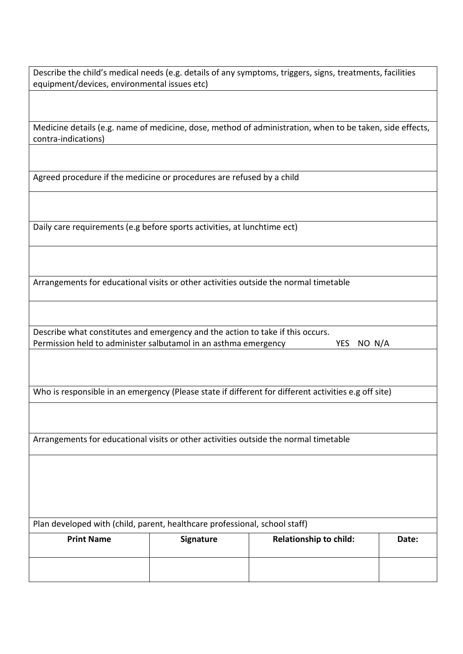| Describe the child's medical needs (e.g. details of any symptoms, triggers, signs, treatments, facilities |  |
|-----------------------------------------------------------------------------------------------------------|--|
| equipment/devices, environmental issues etc)                                                              |  |

Medicine details (e.g. name of medicine, dose, method of administration, when to be taken, side effects, contra-indications)

Agreed procedure if the medicine or procedures are refused by a child

Daily care requirements (e.g before sports activities, at lunchtime ect)

Arrangements for educational visits or other activities outside the normal timetable

Describe what constitutes and emergency and the action to take if this occurs. Permission held to administer salbutamol in an asthma emergency YES NO N/A

Who is responsible in an emergency (Please state if different for different activities e.g off site)

Arrangements for educational visits or other activities outside the normal timetable

| Plan developed with (child, parent, healthcare professional, school staff) |                  |                               |       |  |  |  |
|----------------------------------------------------------------------------|------------------|-------------------------------|-------|--|--|--|
| <b>Print Name</b>                                                          | <b>Signature</b> | <b>Relationship to child:</b> | Date: |  |  |  |
|                                                                            |                  |                               |       |  |  |  |
|                                                                            |                  |                               |       |  |  |  |